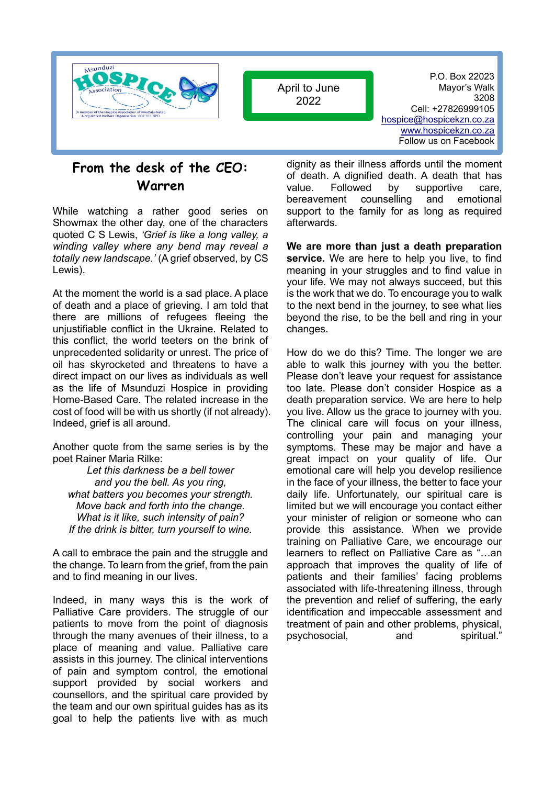

April to June 2022

P.O. Box 22023 Mayor's Walk 3208 Cell: +27826999105 [hospice@hospicekzn.co.za](mailto:hospice@hospicekzn.co.za) [www.hospicekzn.co.za](http://www.hospicekzn.co.za/) Follow us on Facebook

## **From the desk of the CEO: Warren**

While watching a rather good series on Showmax the other day, one of the characters quoted C S Lewis, *'Grief is like a long valley, a winding valley where any bend may reveal a totally new landscape.'* (A grief observed, by CS Lewis).

At the moment the world is a sad place. A place of death and a place of grieving. I am told that there are millions of refugees fleeing the unjustifiable conflict in the Ukraine. Related to this conflict, the world teeters on the brink of unprecedented solidarity or unrest. The price of oil has skyrocketed and threatens to have a direct impact on our lives as individuals as well as the life of Msunduzi Hospice in providing Home-Based Care. The related increase in the cost of food will be with us shortly (if not already). Indeed, grief is all around.

Another quote from the same series is by the poet Rainer Maria Rilke:

*Let this darkness be a bell tower and you the bell. As you ring, what batters you becomes your strength. Move back and forth into the change. What is it like, such intensity of pain? If the drink is bitter, turn yourself to wine.*

A call to embrace the pain and the struggle and the change. To learn from the grief, from the pain and to find meaning in our lives.

Indeed, in many ways this is the work of Palliative Care providers. The struggle of our patients to move from the point of diagnosis through the many avenues of their illness, to a place of meaning and value. Palliative care assists in this journey. The clinical interventions of pain and symptom control, the emotional support provided by social workers and counsellors, and the spiritual care provided by the team and our own spiritual guides has as its goal to help the patients live with as much dignity as their illness affords until the moment of death. A dignified death. A death that has value. Followed by supportive care, bereavement counselling and emotional support to the family for as long as required afterwards.

**We are more than just a death preparation service.** We are here to help you live, to find meaning in your struggles and to find value in your life. We may not always succeed, but this is the work that we do. To encourage you to walk to the next bend in the journey, to see what lies beyond the rise, to be the bell and ring in your changes.

How do we do this? Time. The longer we are able to walk this journey with you the better. Please don't leave your request for assistance too late. Please don't consider Hospice as a death preparation service. We are here to help you live. Allow us the grace to journey with you. The clinical care will focus on your illness, controlling your pain and managing your symptoms. These may be major and have a great impact on your quality of life. Our emotional care will help you develop resilience in the face of your illness, the better to face your daily life. Unfortunately, our spiritual care is limited but we will encourage you contact either your minister of religion or someone who can provide this assistance. When we provide training on Palliative Care, we encourage our learners to reflect on Palliative Care as "…an approach that improves the quality of life of patients and their families' facing problems associated with life-threatening illness, through the prevention and relief of suffering, the early identification and impeccable assessment and treatment of pain and other problems, physical, psychosocial, and spiritual."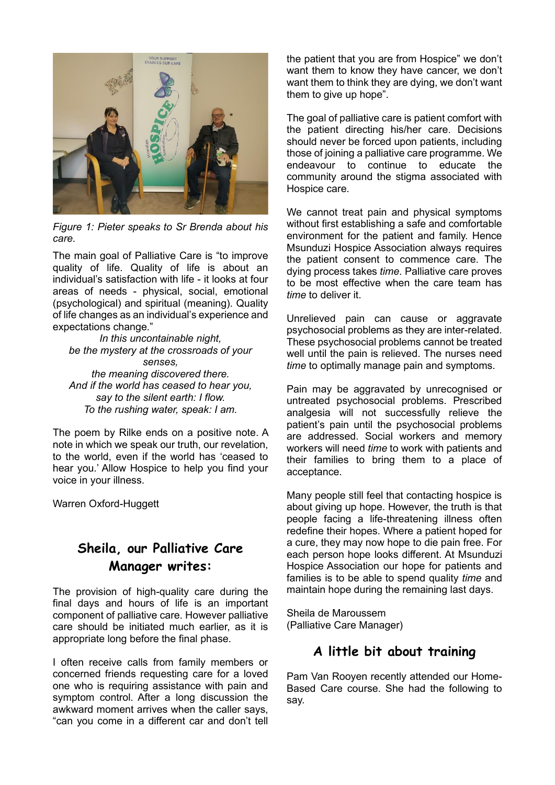

*Figure 1: Pieter speaks to Sr Brenda about his care.*

The main goal of Palliative Care is "to improve quality of life. Quality of life is about an individual's satisfaction with life - it looks at four areas of needs - physical, social, emotional (psychological) and spiritual (meaning). Quality of life changes as an individual's experience and expectations change."

*In this uncontainable night, be the mystery at the crossroads of your senses, the meaning discovered there. And if the world has ceased to hear you, say to the silent earth: I flow. To the rushing water, speak: I am.*

The poem by Rilke ends on a positive note. A note in which we speak our truth, our revelation, to the world, even if the world has 'ceased to hear you.' Allow Hospice to help you find your voice in your illness.

Warren Oxford-Huggett

# **Sheila, our Palliative Care Manager writes:**

The provision of high-quality care during the final days and hours of life is an important component of palliative care. However palliative care should be initiated much earlier, as it is appropriate long before the final phase.

I often receive calls from family members or concerned friends requesting care for a loved one who is requiring assistance with pain and symptom control. After a long discussion the awkward moment arrives when the caller says, "can you come in a different car and don't tell

the patient that you are from Hospice" we don't want them to know they have cancer, we don't want them to think they are dying, we don't want them to give up hope".

The goal of palliative care is patient comfort with the patient directing his/her care. Decisions should never be forced upon patients, including those of joining a palliative care programme. We endeavour to continue to educate the community around the stigma associated with Hospice care.

We cannot treat pain and physical symptoms without first establishing a safe and comfortable environment for the patient and family. Hence Msunduzi Hospice Association always requires the patient consent to commence care. The dying process takes *time*. Palliative care proves to be most effective when the care team has *time* to deliver it.

Unrelieved pain can cause or aggravate psychosocial problems as they are inter-related. These psychosocial problems cannot be treated well until the pain is relieved. The nurses need *time* to optimally manage pain and symptoms.

Pain may be aggravated by unrecognised or untreated psychosocial problems. Prescribed analgesia will not successfully relieve the patient's pain until the psychosocial problems are addressed. Social workers and memory workers will need *time* to work with patients and their families to bring them to a place of acceptance.

Many people still feel that contacting hospice is about giving up hope. However, the truth is that people facing a life-threatening illness often redefine their hopes. Where a patient hoped for a cure, they may now hope to die pain free. For each person hope looks different. At Msunduzi Hospice Association our hope for patients and families is to be able to spend quality *time* and maintain hope during the remaining last days.

Sheila de Maroussem (Palliative Care Manager)

## **A little bit about training**

Pam Van Rooyen recently attended our Home-Based Care course. She had the following to say.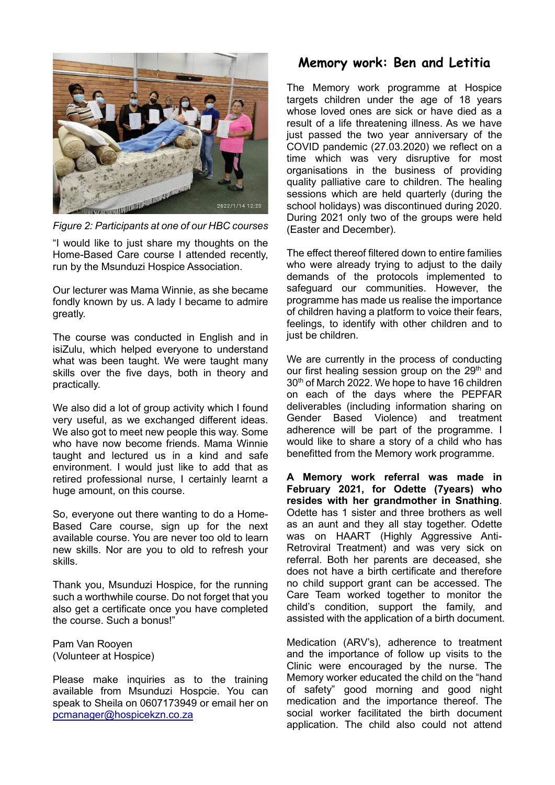

*Figure 2: Participants at one of our HBC courses*

"I would like to just share my thoughts on the Home-Based Care course I attended recently, run by the Msunduzi Hospice Association.

Our lecturer was Mama Winnie, as she became fondly known by us. A lady I became to admire greatly.

The course was conducted in English and in isiZulu, which helped everyone to understand what was been taught. We were taught many skills over the five days, both in theory and practically.

We also did a lot of group activity which I found very useful, as we exchanged different ideas. We also got to meet new people this way. Some who have now become friends. Mama Winnie taught and lectured us in a kind and safe environment. I would just like to add that as retired professional nurse, I certainly learnt a huge amount, on this course.

So, everyone out there wanting to do a Home-Based Care course, sign up for the next available course. You are never too old to learn new skills. Nor are you to old to refresh your skills.

Thank you, Msunduzi Hospice, for the running such a worthwhile course. Do not forget that you also get a certificate once you have completed the course. Such a bonus!"

Pam Van Rooyen (Volunteer at Hospice)

Please make inquiries as to the training available from Msunduzi Hospcie. You can speak to Sheila on 0607173949 or email her on [pcmanager@hospicekzn.co.za](mailto:pcmanager@hospicekzn.co.za)

## **Memory work: Ben and Letitia**

The Memory work programme at Hospice targets children under the age of 18 years whose loved ones are sick or have died as a result of a life threatening illness. As we have just passed the two year anniversary of the COVID pandemic (27.03.2020) we reflect on a time which was very disruptive for most organisations in the business of providing quality palliative care to children. The healing sessions which are held quarterly (during the school holidays) was discontinued during 2020. During 2021 only two of the groups were held (Easter and December).

The effect thereof filtered down to entire families who were already trying to adjust to the daily demands of the protocols implemented to safeguard our communities. However, the programme has made us realise the importance of children having a platform to voice their fears, feelings, to identify with other children and to just be children.

We are currently in the process of conducting our first healing session group on the  $29<sup>th</sup>$  and 30th of March 2022. We hope to have 16 children on each of the days where the PEPFAR deliverables (including information sharing on Gender Based Violence) and treatment adherence will be part of the programme. I would like to share a story of a child who has benefitted from the Memory work programme.

**A Memory work referral was made in February 2021, for Odette (7years) who resides with her grandmother in Snathing**. Odette has 1 sister and three brothers as well as an aunt and they all stay together. Odette was on HAART (Highly Aggressive Anti-Retroviral Treatment) and was very sick on referral. Both her parents are deceased, she does not have a birth certificate and therefore no child support grant can be accessed. The Care Team worked together to monitor the child's condition, support the family, and assisted with the application of a birth document.

Medication (ARV's), adherence to treatment and the importance of follow up visits to the Clinic were encouraged by the nurse. The Memory worker educated the child on the "hand of safety" good morning and good night medication and the importance thereof. The social worker facilitated the birth document application. The child also could not attend